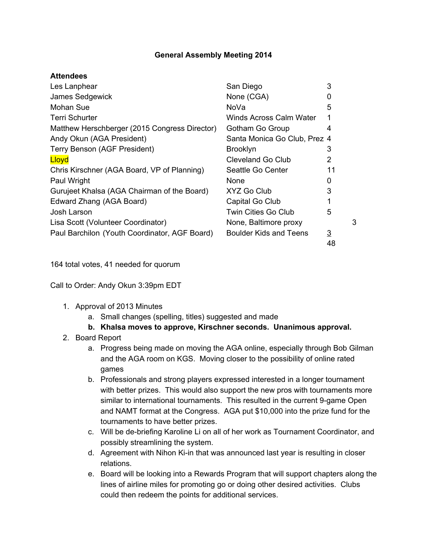## **General Assembly Meeting 2014**

## **Attendees**

| Les Lanphear                                  | San Diego                    | 3        |   |
|-----------------------------------------------|------------------------------|----------|---|
| James Sedgewick                               | None (CGA)                   |          |   |
| Mohan Sue                                     | NoVa                         | 5        |   |
| <b>Terri Schurter</b>                         | Winds Across Calm Water      |          |   |
| Matthew Herschberger (2015 Congress Director) | Gotham Go Group              | 4        |   |
| Andy Okun (AGA President)                     | Santa Monica Go Club, Prez 4 |          |   |
| Terry Benson (AGF President)                  | <b>Brooklyn</b>              | 3        |   |
| Lloyd                                         | <b>Cleveland Go Club</b>     | 2        |   |
| Chris Kirschner (AGA Board, VP of Planning)   | Seattle Go Center            | 11       |   |
| Paul Wright                                   | None                         | ŋ        |   |
| Gurujeet Khalsa (AGA Chairman of the Board)   | XYZ Go Club                  | 3        |   |
| Edward Zhang (AGA Board)                      | Capital Go Club              |          |   |
| Josh Larson                                   | Twin Cities Go Club          | 5        |   |
| Lisa Scott (Volunteer Coordinator)            | None, Baltimore proxy        |          | 3 |
| Paul Barchilon (Youth Coordinator, AGF Board) | Boulder Kids and Teens       | <u>3</u> |   |
|                                               |                              | 48       |   |

164 total votes, 41 needed for quorum

Call to Order: Andy Okun 3:39pm EDT

- 1. Approval of 2013 Minutes
	- a. Small changes (spelling, titles) suggested and made
	- **b. Khalsa moves to approve, Kirschner seconds. Unanimous approval.**
- 2. Board Report
	- a. Progress being made on moving the AGA online, especially through Bob Gilman and the AGA room on KGS. Moving closer to the possibility of online rated games
	- b. Professionals and strong players expressed interested in a longer tournament with better prizes. This would also support the new pros with tournaments more similar to international tournaments. This resulted in the current 9-game Open and NAMT format at the Congress. AGA put \$10,000 into the prize fund for the tournaments to have better prizes.
	- c. Will be de-briefing Karoline Li on all of her work as Tournament Coordinator, and possibly streamlining the system.
	- d. Agreement with Nihon Ki-in that was announced last year is resulting in closer relations.
	- e. Board will be looking into a Rewards Program that will support chapters along the lines of airline miles for promoting go or doing other desired activities. Clubs could then redeem the points for additional services.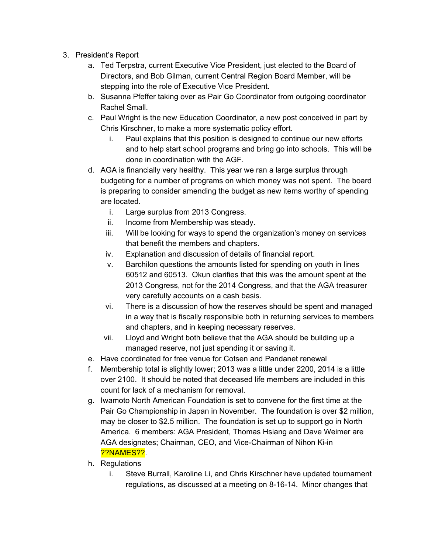- 3. President's Report
	- a. Ted Terpstra, current Executive Vice President, just elected to the Board of Directors, and Bob Gilman, current Central Region Board Member, will be stepping into the role of Executive Vice President.
	- b. Susanna Pfeffer taking over as Pair Go Coordinator from outgoing coordinator Rachel Small.
	- c. Paul Wright is the new Education Coordinator, a new post conceived in part by Chris Kirschner, to make a more systematic policy effort.
		- i. Paul explains that this position is designed to continue our new efforts and to help start school programs and bring go into schools. This will be done in coordination with the AGF.
	- d. AGA is financially very healthy. This year we ran a large surplus through budgeting for a number of programs on which money was not spent. The board is preparing to consider amending the budget as new items worthy of spending are located.
		- i. Large surplus from 2013 Congress.
		- ii. Income from Membership was steady.
		- iii. Will be looking for ways to spend the organization's money on services that benefit the members and chapters.
		- iv. Explanation and discussion of details of financial report.
		- v. Barchilon questions the amounts listed for spending on youth in lines 60512 and 60513. Okun clarifies that this was the amount spent at the 2013 Congress, not for the 2014 Congress, and that the AGA treasurer very carefully accounts on a cash basis.
		- vi. There is a discussion of how the reserves should be spent and managed in a way that is fiscally responsible both in returning services to members and chapters, and in keeping necessary reserves.
		- vii. Lloyd and Wright both believe that the AGA should be building up a managed reserve, not just spending it or saving it.
	- e. Have coordinated for free venue for Cotsen and Pandanet renewal
	- f. Membership total is slightly lower; 2013 was a little under 2200, 2014 is a little over 2100. It should be noted that deceased life members are included in this count for lack of a mechanism for removal.
	- g. Iwamoto North American Foundation is set to convene for the first time at the Pair Go Championship in Japan in November. The foundation is over \$2 million, may be closer to \$2.5 million. The foundation is set up to support go in North America. 6 members: AGA President, Thomas Hsiang and Dave Weimer are AGA designates; Chairman, CEO, and Vice-Chairman of Nihon Ki-in ??NAMES??.
	- h. Regulations
		- i. Steve Burrall, Karoline Li, and Chris Kirschner have updated tournament regulations, as discussed at a meeting on 8-16-14. Minor changes that